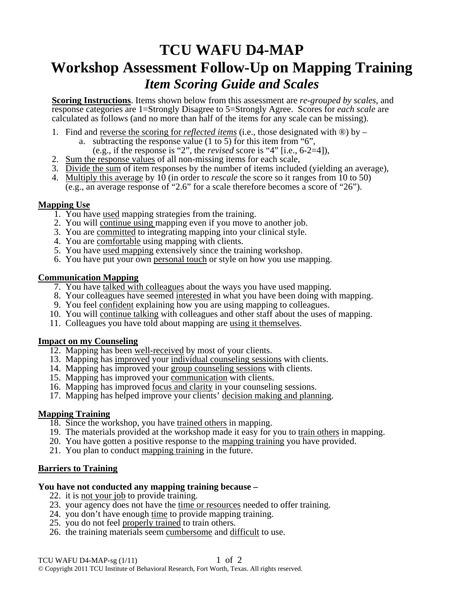# **TCU WAFU D4-MAP Workshop Assessment Follow-Up on Mapping Training**  *Item Scoring Guide and Scales*

**Scoring Instructions**. Items shown below from this assessment are *re-grouped by scales*, and response categories are 1=Strongly Disagree to 5=Strongly Agree. Scores for *each scale* are calculated as follows (and no more than half of the items for any scale can be missing).

- 1. Find and <u>reverse the scoring for *reflected items*</u> (i.e., those designated with  $\circledR$ ) by
	- a. subtracting the response value  $(1 \text{ to } 5)$  for this item from "6",
	- (e.g., if the response is "2", the *revised* score is "4" [i.e., 6-2=4]),
- 2. Sum the response values of all non-missing items for each scale,
- 3. Divide the sum of item responses by the number of items included (yielding an average),
- 4. Multiply this average by 10 (in order to *rescale* the score so it ranges from 10 to 50) (e.g., an average response of "2.6" for a scale therefore becomes a score of "26").

#### **Mapping Use**

- 1. You have used mapping strategies from the training.
- 2. You will continue using mapping even if you move to another job.
- 3. You are committed to integrating mapping into your clinical style.
- 4. You are comfortable using mapping with clients.
- 5. You have used mapping extensively since the training workshop.
- 6. You have put your own personal touch or style on how you use mapping.

#### **Communication Mapping**

- 7. You have talked with colleagues about the ways you have used mapping.
- 8. Your colleagues have seemed interested in what you have been doing with mapping.
- 9. You feel confident explaining how you are using mapping to colleagues.
- 10. You will continue talking with colleagues and other staff about the uses of mapping.
- 11. Colleagues you have told about mapping are using it themselves.

# **Impact on my Counseling**

- 12. Mapping has been well-received by most of your clients.
- 13. Mapping has improved your individual counseling sessions with clients.
- 14. Mapping has improved your group counseling sessions with clients.
- 15. Mapping has improved your communication with clients.
- 16. Mapping has improved focus and clarity in your counseling sessions.
- 17. Mapping has helped improve your clients' decision making and planning.

# **Mapping Training**

- 18. Since the workshop, you have trained others in mapping.
- 19. The materials provided at the workshop made it easy for you to train others in mapping.
- 20. You have gotten a positive response to the mapping training you have provided.
- 21. You plan to conduct mapping training in the future.

# **Barriers to Training**

#### **You have not conducted any mapping training because –**

- 22. it is not your job to provide training.
- 23. your agency does not have the time or resources needed to offer training.
- 24. you don't have enough time to provide mapping training.
- 25. you do not feel properly trained to train others.
- 26. the training materials seem cumbersome and difficult to use.